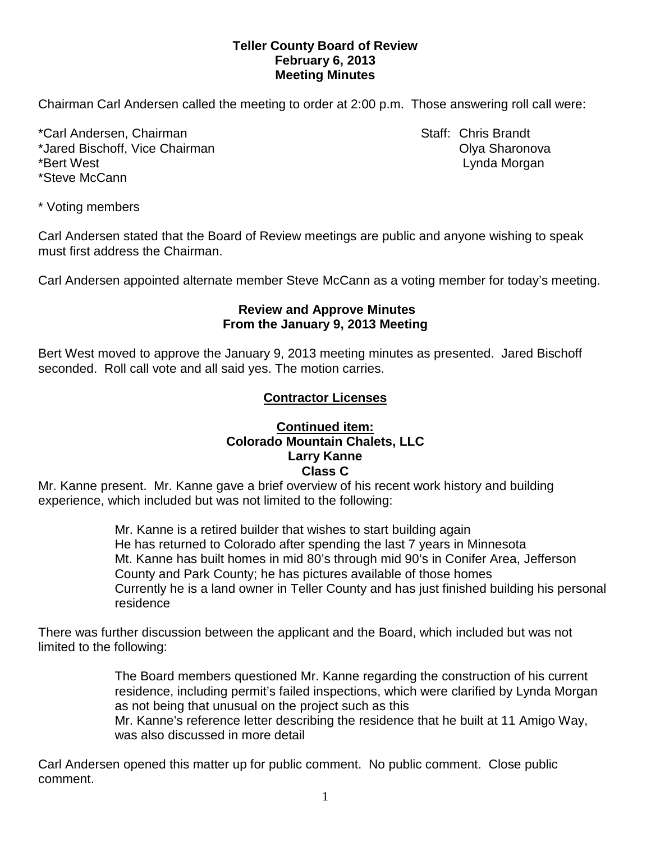### **Teller County Board of Review February 6, 2013 Meeting Minutes**

Chairman Carl Andersen called the meeting to order at 2:00 p.m. Those answering roll call were:

\*Carl Andersen, Chairman Staff: Chris Brandt \*Jared Bischoff, Vice Chairman **Contract Contract Contract Contract Contract Contract Contract Contract Contract Contract Contract Contract Contract Contract Contract Contract Contract Contract Contract Contract Contract C** \*Bert West **Lynda Morgan** \*Steve McCann

\* Voting members

Carl Andersen stated that the Board of Review meetings are public and anyone wishing to speak must first address the Chairman.

Carl Andersen appointed alternate member Steve McCann as a voting member for today's meeting.

#### **Review and Approve Minutes From the January 9, 2013 Meeting**

Bert West moved to approve the January 9, 2013 meeting minutes as presented. Jared Bischoff seconded.Roll call vote and all said yes. The motion carries.

# **Contractor Licenses**

## **Continued item: Colorado Mountain Chalets, LLC Larry Kanne Class C**

Mr. Kanne present. Mr. Kanne gave a brief overview of his recent work history and building experience, which included but was not limited to the following:

> Mr. Kanne is a retired builder that wishes to start building again He has returned to Colorado after spending the last 7 years in Minnesota Mt. Kanne has built homes in mid 80's through mid 90's in Conifer Area, Jefferson County and Park County; he has pictures available of those homes Currently he is a land owner in Teller County and has just finished building his personal residence

There was further discussion between the applicant and the Board, which included but was not limited to the following:

> The Board members questioned Mr. Kanne regarding the construction of his current residence, including permit's failed inspections, which were clarified by Lynda Morgan as not being that unusual on the project such as this Mr. Kanne's reference letter describing the residence that he built at 11 Amigo Way, was also discussed in more detail

Carl Andersen opened this matter up for public comment. No public comment. Close public comment.